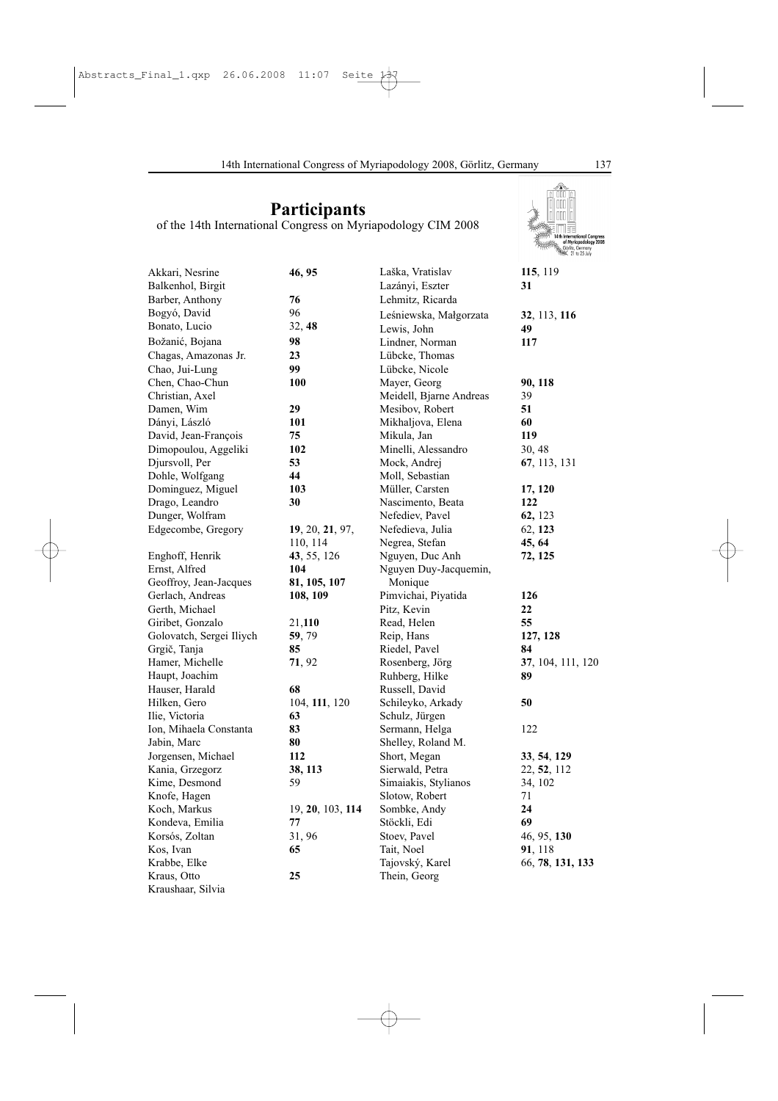**Participants** of the 14th International Congress on Myriapodology CIM 2008

| Akkari, Nesrine          | 46, 95           | Laška, Vratislav        | 115, 119          |
|--------------------------|------------------|-------------------------|-------------------|
| Balkenhol, Birgit        |                  | Lazányi, Eszter         | 31                |
| Barber, Anthony          | 76               | Lehmitz, Ricarda        |                   |
| Bogyó, David             | 96               | Leśniewska, Małgorzata  | 32, 113, 116      |
| Bonato, Lucio            | 32, 48           | Lewis, John             | 49                |
| Božanić, Bojana          | 98               | Lindner, Norman         | 117               |
| Chagas, Amazonas Jr.     | 23               | Lübcke, Thomas          |                   |
| Chao, Jui-Lung           | 99               | Lübcke, Nicole          |                   |
| Chen, Chao-Chun          | 100              | Mayer, Georg            | 90, 118           |
| Christian, Axel          |                  | Meidell, Bjarne Andreas | 39                |
| Damen, Wim               | 29               | Mesibov, Robert         | 51                |
| Dányi, László            | 101              | Mikhaljova, Elena       | 60                |
| David, Jean-François     | 75               | Mikula, Jan             | 119               |
| Dimopoulou, Aggeliki     | 102              | Minelli, Alessandro     | 30, 48            |
| Djursvoll, Per           | 53               | Mock, Andrej            | 67, 113, 131      |
| Dohle, Wolfgang          | 44               | Moll, Sebastian         |                   |
| Dominguez, Miguel        | 103              | Müller, Carsten         | 17, 120           |
| Drago, Leandro           | 30               | Nascimento, Beata       | 122               |
| Dunger, Wolfram          |                  | Nefediev, Pavel         | 62, 123           |
| Edgecombe, Gregory       | 19, 20, 21, 97,  | Nefedieva, Julia        | 62, 123           |
|                          | 110, 114         | Negrea, Stefan          | 45, 64            |
| Enghoff, Henrik          | 43, 55, 126      | Nguyen, Duc Anh         | 72, 125           |
| Ernst, Alfred            | 104              | Nguyen Duy-Jacquemin,   |                   |
| Geoffroy, Jean-Jacques   | 81, 105, 107     | Monique                 |                   |
| Gerlach, Andreas         | 108, 109         | Pimvichai, Piyatida     | 126               |
| Gerth, Michael           |                  | Pitz, Kevin             | 22                |
| Giribet, Gonzalo         | 21,110           | Read, Helen             | 55                |
| Golovatch, Sergei Iliych | 59, 79           | Reip, Hans              | 127, 128          |
| Grgič, Tanja             | 85               | Riedel, Pavel           | 84                |
| Hamer, Michelle          | 71, 92           | Rosenberg, Jörg         | 37, 104, 111, 120 |
| Haupt, Joachim           |                  | Ruhberg, Hilke          | 89                |
| Hauser, Harald           | 68               | Russell, David          |                   |
| Hilken, Gero             | 104, 111, 120    | Schileyko, Arkady       | 50                |
| Ilie, Victoria           | 63               | Schulz, Jürgen          |                   |
| Ion, Mihaela Constanta   | 83               | Sermann, Helga          | 122               |
| Jabin, Marc              | 80               | Shelley, Roland M.      |                   |
| Jorgensen, Michael       | 112              | Short, Megan            | 33, 54, 129       |
| Kania, Grzegorz          | 38, 113          | Sierwald, Petra         | 22, 52, 112       |
| Kime, Desmond            | 59               |                         |                   |
|                          |                  | Simaiakis, Stylianos    | 34, 102           |
| Knofe, Hagen             |                  | Slotow, Robert          | 71<br>24          |
| Koch, Markus             | 19, 20, 103, 114 | Sombke, Andy            | 69                |
| Kondeva, Emilia          | 77               | Stöckli, Edi            |                   |
| Korsós, Zoltan           | 31, 96           | Stoev, Pavel            | 46, 95, 130       |
| Kos, Ivan                | 65               | Tait, Noel              | 91, 118           |
| Krabbe, Elke             |                  | Tajovský, Karel         | 66, 78, 131, 133  |
| Kraus, Otto              | 25               | Thein, Georg            |                   |
| Kraushaar, Silvia        |                  |                         |                   |